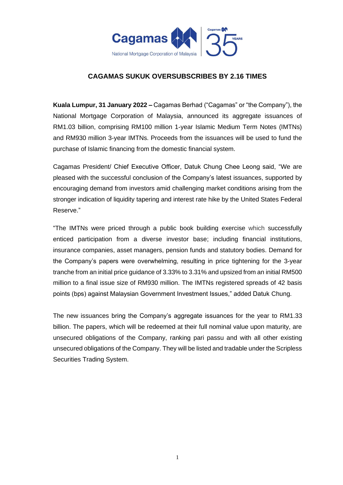

## **CAGAMAS SUKUK OVERSUBSCRIBES BY 2.16 TIMES**

**Kuala Lumpur, 31 January 2022 –** Cagamas Berhad ("Cagamas" or "the Company"), the National Mortgage Corporation of Malaysia, announced its aggregate issuances of RM1.03 billion, comprising RM100 million 1-year Islamic Medium Term Notes (IMTNs) and RM930 million 3-year IMTNs. Proceeds from the issuances will be used to fund the purchase of Islamic financing from the domestic financial system.

Cagamas President/ Chief Executive Officer, Datuk Chung Chee Leong said, "We are pleased with the successful conclusion of the Company's latest issuances, supported by encouraging demand from investors amid challenging market conditions arising from the stronger indication of liquidity tapering and interest rate hike by the United States Federal Reserve."

"The IMTNs were priced through a public book building exercise which successfully enticed participation from a diverse investor base; including financial institutions, insurance companies, asset managers, pension funds and statutory bodies. Demand for the Company's papers were overwhelming, resulting in price tightening for the 3-year tranche from an initial price guidance of 3.33% to 3.31% and upsized from an initial RM500 million to a final issue size of RM930 million. The IMTNs registered spreads of 42 basis points (bps) against Malaysian Government Investment Issues," added Datuk Chung.

The new issuances bring the Company's aggregate issuances for the year to RM1.33 billion. The papers, which will be redeemed at their full nominal value upon maturity, are unsecured obligations of the Company, ranking pari passu and with all other existing unsecured obligations of the Company. They will be listed and tradable under the Scripless Securities Trading System.